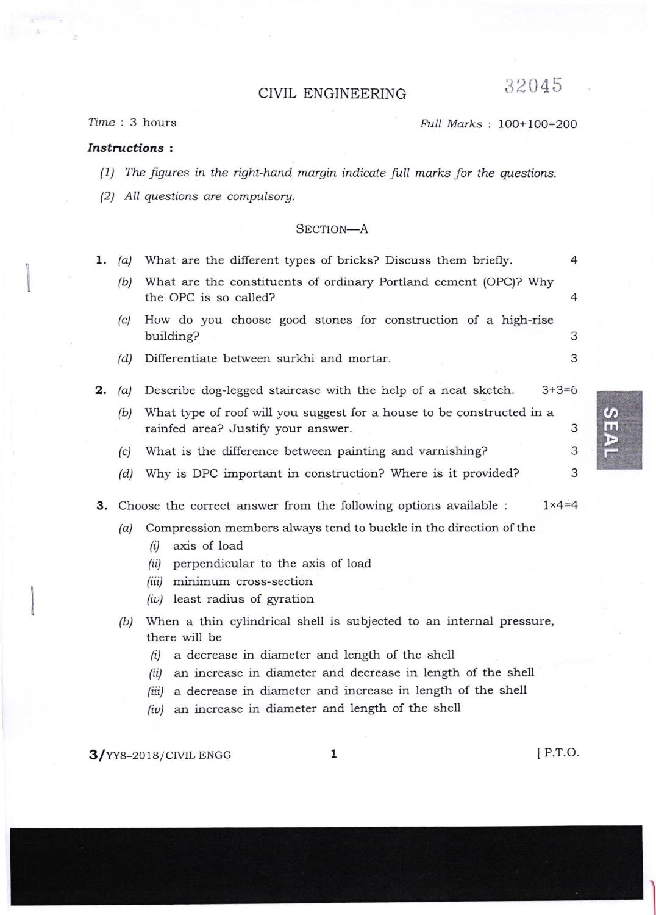## CTVIL ENGINEERING 32045

## ?ime : 3 hours Ftull Marks : 1OO+1oO=2OO

## Instructions :

(1) The figures in the right-hand margin indicate full marks for the questions.

 $(2)$  All questions are compulsory.

## SECTION-A

| ı. | (a) | What are the different types of bricks? Discuss them briefly.                                                                                                                                              | 4 |
|----|-----|------------------------------------------------------------------------------------------------------------------------------------------------------------------------------------------------------------|---|
|    | (b) | What are the constituents of ordinary Portland cement (OPC)? Why<br>the OPC is so called?                                                                                                                  | 4 |
|    | (c) | How do you choose good stones for construction of a high-rise                                                                                                                                              |   |
|    |     | building?                                                                                                                                                                                                  | 3 |
|    | (d) | Differentiate between surkhi and mortar.                                                                                                                                                                   | 3 |
| 2. | (a) | Describe dog-legged staircase with the help of a neat sketch.<br>$3+3=6$                                                                                                                                   |   |
|    | (b) | What type of roof will you suggest for a house to be constructed in a<br>rainfed area? Justify your answer.                                                                                                | 3 |
|    | (c) | What is the difference between painting and varnishing?                                                                                                                                                    | 3 |
|    | (d) | Why is DPC important in construction? Where is it provided?                                                                                                                                                | 3 |
| з. |     | $1 \times 4 = 4$<br>Choose the correct answer from the following options available :                                                                                                                       |   |
|    | (a) | Compression members always tend to buckle in the direction of the<br>axis of load<br>(i)<br>perpendicular to the axis of load<br>(ii)<br>minimum cross-section<br>(iii)<br>$(iv)$ least radius of gyration |   |
|    | (b) | When a thin cylindrical shell is subjected to an internal pressure,<br>there will be<br>a decrease in diameter and length of the shell<br>(i)                                                              |   |

- (ii) an increase in diameter and decrease in length of the shell
- (iii) a decrease in diameter and increase in length of the shell
- /iul an increase in diameter and length of the shell

 $3/$ YY8-2018/CIVIL ENGG  $1$  [P.T.O.

 $\boldsymbol{\theta}$ m

r<br>M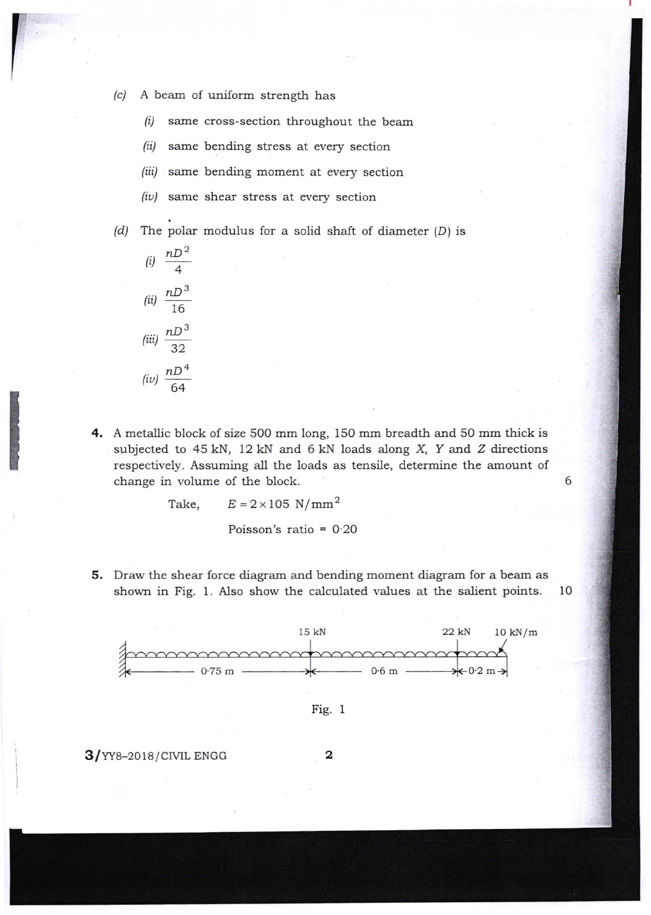(.) A beam of uniform strength has

 $(i)$  same cross-section throughout the beam

(ii) same bending stress at every section

- (iii) same bending moment at every section
- $(iv)$  same shear stress at every section

(d) The polar modulus for a solid shaft of diameter  $(D)$  is



4. A metallic block of size 500 mm iong, 150 mm breadth and 50 mm thick is subjected to  $45$  kN,  $12$  kN and  $6$  kN loads along  $X$ ,  $Y$  and  $Z$  directions respectively. Assuming all the loads as tensile, determine the amount of change in volume of the block.

6

Take,  $E = 2 \times 105$  N/mm<sup>2</sup>

Poisson's ratio = O'2O

5. Draw the shear force diagram and bending moment diagram for a beam as shown in Fig. 1. Also show the calculated values at the salient points. 10





 $3/$ YY8-2018/CIVIL ENGG 2